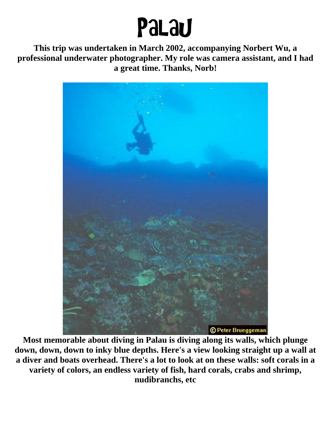## Palau

**This trip was undertaken in March 2002, accompanying Norbert Wu, a professional underwater photographer. My role was camera assistant, and I had a great time. Thanks, Norb!** 



**Most memorable about diving in Palau is diving along its walls, which plunge down, down, down to inky blue depths. Here's a view looking straight up a wall at a diver and boats overhead. There's a lot to look at on these walls: soft corals in a variety of colors, an endless variety of fish, hard corals, crabs and shrimp, nudibranchs, etc**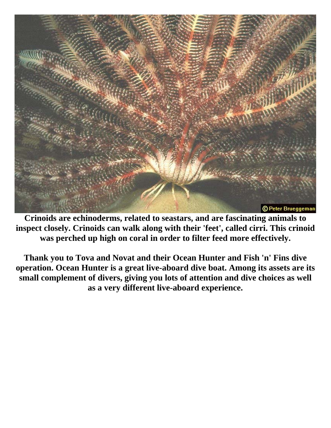

**Crinoids are echinoderms, related to seastars, and are fascinating animals to inspect closely. Crinoids can walk along with their 'feet', called cirri. This crinoid was perched up high on coral in order to filter feed more effectively.** 

**Thank you to Tova and Novat and their Ocean Hunter and Fish 'n' Fins dive operation. Ocean Hunter is a great live-aboard dive boat. Among its assets are its small complement of divers, giving you lots of attention and dive choices as well as a very different live-aboard experience.**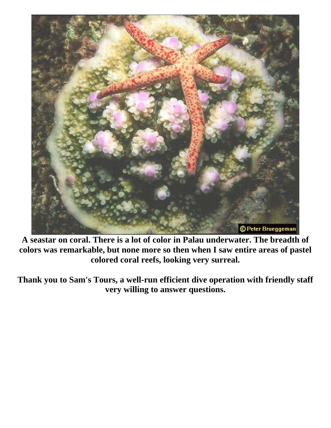

**A seastar on coral. There is a lot of color in Palau underwater. The breadth of colors was remarkable, but none more so then when I saw entire areas of pastel colored coral reefs, looking very surreal.** 

**Thank you to Sam's Tours, a well-run efficient dive operation with friendly staff very willing to answer questions.**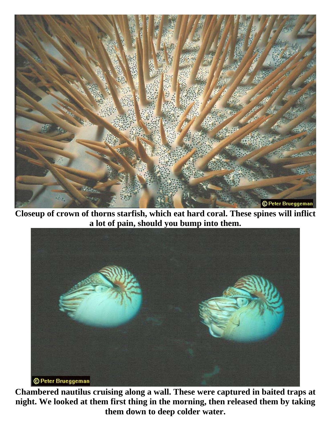

**Closeup of crown of thorns starfish, which eat hard coral. These spines will inflict a lot of pain, should you bump into them.** 



**Chambered nautilus cruising along a wall. These were captured in baited traps at night. We looked at them first thing in the morning, then released them by taking them down to deep colder water.**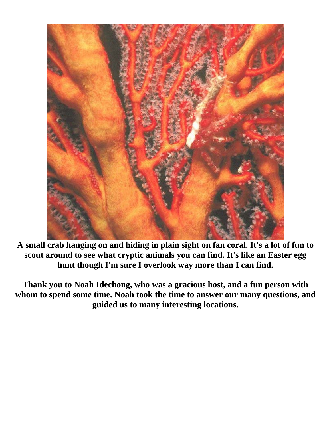

**A small crab hanging on and hiding in plain sight on fan coral. It's a lot of fun to scout around to see what cryptic animals you can find. It's like an Easter egg hunt though I'm sure I overlook way more than I can find.** 

**Thank you to Noah Idechong, who was a gracious host, and a fun person with whom to spend some time. Noah took the time to answer our many questions, and guided us to many interesting locations.**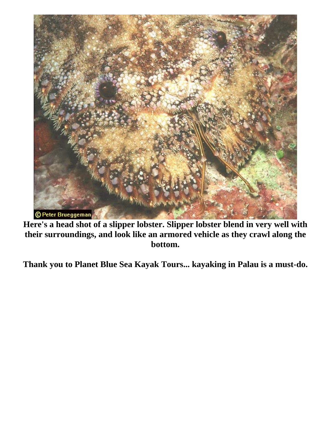

**Here's a head shot of a slipper lobster. Slipper lobster blend in very well with their surroundings, and look like an armored vehicle as they crawl along the bottom.** 

**Thank you to Planet Blue Sea Kayak Tours... kayaking in Palau is a must-do.**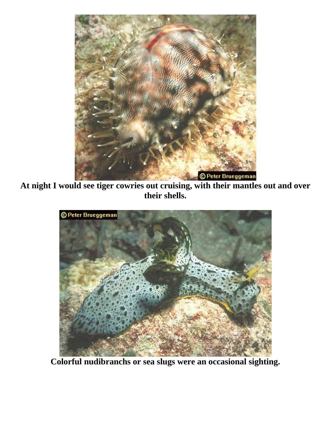

**At night I would see tiger cowries out cruising, with their mantles out and over their shells.** 



**Colorful nudibranchs or sea slugs were an occasional sighting.**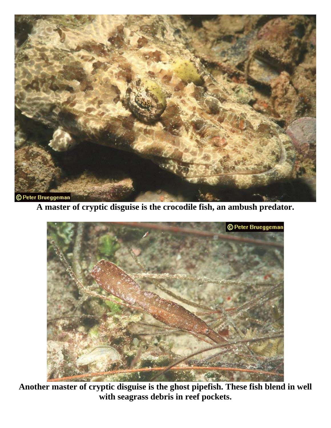

**A master of cryptic disguise is the crocodile fish, an ambush predator.** 



**Another master of cryptic disguise is the ghost pipefish. These fish blend in well with seagrass debris in reef pockets.**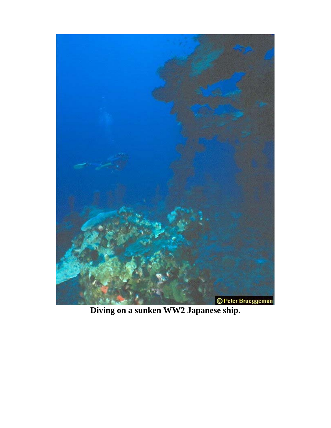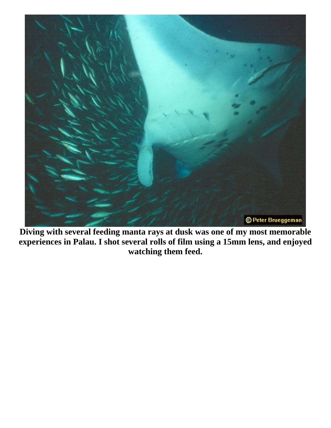

**Diving with several feeding manta rays at dusk was one of my most memorable experiences in Palau. I shot several rolls of film using a 15mm lens, and enjoyed watching them feed.**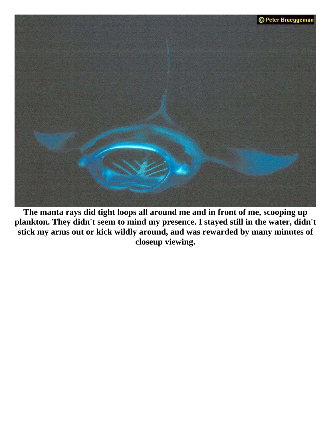

**The manta rays did tight loops all around me and in front of me, scooping up plankton. They didn't seem to mind my presence. I stayed still in the water, didn't stick my arms out or kick wildly around, and was rewarded by many minutes of closeup viewing.**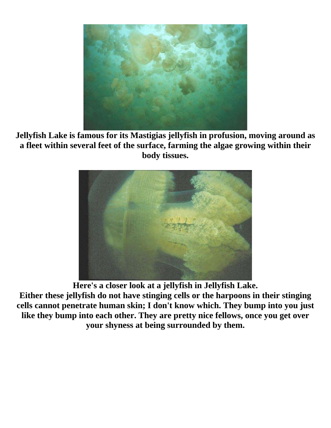

**Jellyfish Lake is famous for its Mastigias jellyfish in profusion, moving around as a fleet within several feet of the surface, farming the algae growing within their body tissues.** 



**Here's a closer look at a jellyfish in Jellyfish Lake. Either these jellyfish do not have stinging cells or the harpoons in their stinging cells cannot penetrate human skin; I don't know which. They bump into you just like they bump into each other. They are pretty nice fellows, once you get over your shyness at being surrounded by them.**